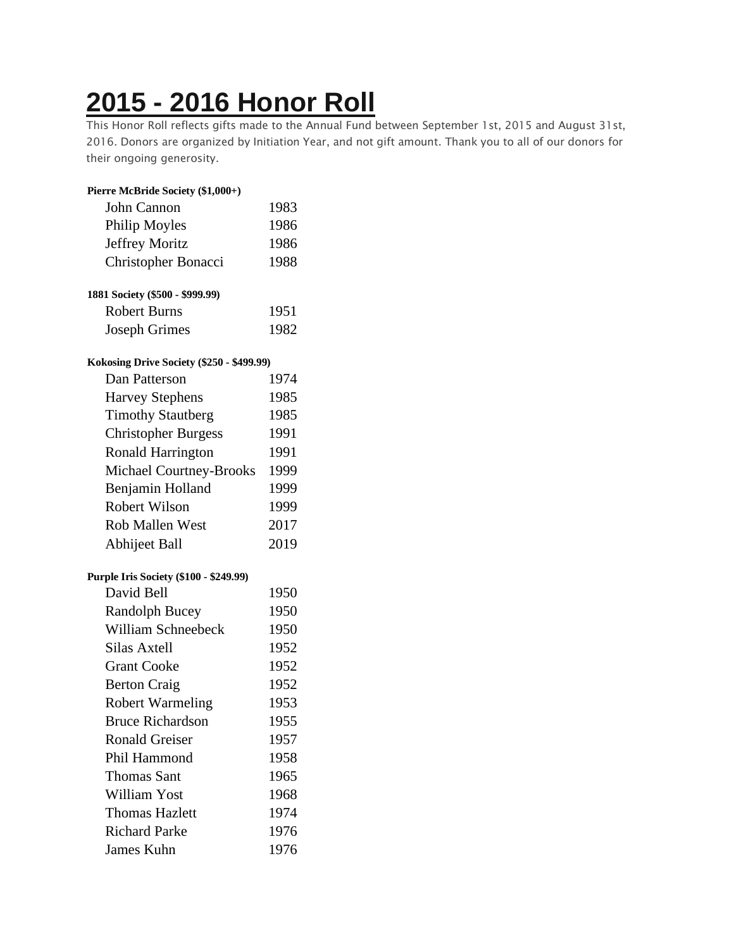## **2015 - 2016 [Honor](https://chidelts.2stayconnected.com/index.php?option=com_content&view=article&id=440:2015-2016-honor-roll&catid=42&Itemid=624) Roll**

This Honor Roll reflects gifts made to the Annual Fund between September 1st, 2015 and August 31st, 2016. Donors are organized by Initiation Year, and not gift amount. Thank you to all of our donors for their ongoing generosity.

| Pierre McBride Society (\$1,000+)         |      |
|-------------------------------------------|------|
| John Cannon                               | 1983 |
| Philip Moyles                             | 1986 |
| <b>Jeffrey Moritz</b>                     | 1986 |
| Christopher Bonacci                       | 1988 |
| 1881 Society (\$500 - \$999.99)           |      |
| <b>Robert Burns</b>                       | 1951 |
| <b>Joseph Grimes</b>                      | 1982 |
| Kokosing Drive Society (\$250 - \$499.99) |      |
| Dan Patterson                             | 1974 |
| <b>Harvey Stephens</b>                    | 1985 |
| <b>Timothy Stautberg</b>                  | 1985 |
| <b>Christopher Burgess</b>                | 1991 |
| Ronald Harrington                         | 1991 |
| Michael Courtney-Brooks                   | 1999 |
| Benjamin Holland                          | 1999 |
| Robert Wilson                             | 1999 |
| <b>Rob Mallen West</b>                    | 2017 |
| Abhijeet Ball                             | 2019 |
| Purple Iris Society (\$100 - \$249.99)    |      |
| David Bell                                | 1950 |
| <b>Randolph Bucey</b>                     | 1950 |
| <b>William Schneebeck</b>                 | 1950 |
| <b>Silas Axtell</b>                       | 1952 |
| <b>Grant Cooke</b>                        | 1952 |
| <b>Berton Craig</b>                       | 1952 |
| <b>Robert Warmeling</b>                   | 1953 |
| <b>Bruce Richardson</b>                   | 1955 |
| <b>Ronald Greiser</b>                     | 1957 |
| Phil Hammond                              | 1958 |
| <b>Thomas Sant</b>                        | 1965 |
| William Yost                              | 1968 |
| <b>Thomas Hazlett</b>                     | 1974 |
| <b>Richard Parke</b>                      | 1976 |
| James Kuhn                                | 1976 |